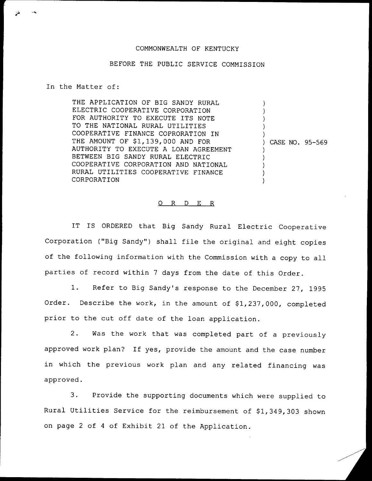## COMMONWEALTH OF KENTUCKY

## BEFORE THE PUBLlC SERVICE COMMISSION

In the Matter of:

THE APPLICATION OF BIG SANDY RURAL ELECTRIC COOPERATIVE CORPORATION FOR AUTHORITY TO EXECUTE ITS NOTE TO THE NATIONAL RURAL UTILITIES COOPERATIVE FINANCE COPRORATION IN THE AMOUNT OF \$1,139,000 AND FOR AUTHORITY TO EXECUTE A LOAN AGREEMENT BETWEEN BIG SANDY RURAL ELECTRIC COOPERATIVE CORPORATION AND NATIONAL RURAL UTILITIES COOPERATIVE FINANCE CORPORATION ) ) ) ) ) ) CASE NO. 95-569 ) ) ) ) )

## 0 R <sup>D</sup> E R

IT IS ORDERED that Big Sandy Rural Electric Cooperative Corporation ("Big Sandy") shall file the original and eight copies of the following information with the Commission with <sup>a</sup> copy to all parties of record within <sup>7</sup> days from the date of this Order.

1. Refer to Big Sandy's response to the December 27, <sup>1995</sup> Order. Describe the work, in the amount of \$1,237,000, completed prior to the cut off date of the loan application.

2. Was the work that was completed part of <sup>a</sup> previously approved work plan? If yes, provide the amount and the case number in which the previous work plan and any related financing was approved.

3. Provide the supporting documents which were supplied to Rural Utilities Service for the reimbursement of \$1,349,303 shown on page <sup>2</sup> of <sup>4</sup> of Exhibit 21 of the Application.